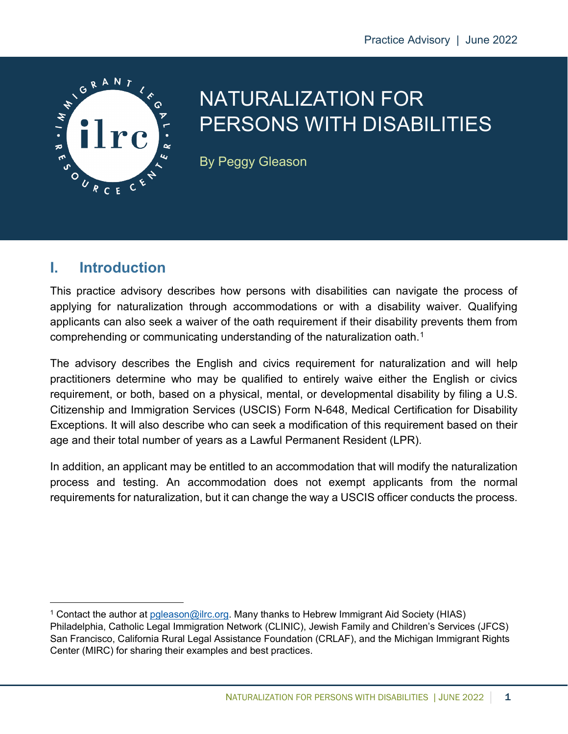

# NATURALIZATION FOR PERSONS WITH DISABILITIES

By Peggy Gleason

## **I. Introduction**

 $\overline{a}$ 

This practice advisory describes how persons with disabilities can navigate the process of applying for naturalization through accommodations or with a disability waiver. Qualifying applicants can also seek a waiver of the oath requirement if their disability prevents them from comprehending or communicating understanding of the naturalization oath.[1](#page-0-0)

The advisory describes the English and civics requirement for naturalization and will help practitioners determine who may be qualified to entirely waive either the English or civics requirement, or both, based on a physical, mental, or developmental disability by filing a U.S. Citizenship and Immigration Services (USCIS) Form N-648, Medical Certification for Disability Exceptions. It will also describe who can seek a modification of this requirement based on their age and their total number of years as a Lawful Permanent Resident (LPR).

In addition, an applicant may be entitled to an accommodation that will modify the naturalization process and testing. An accommodation does not exempt applicants from the normal requirements for naturalization, but it can change the way a USCIS officer conducts the process.

<span id="page-0-0"></span><sup>&</sup>lt;sup>1</sup> Contact the author at [pgleason@ilrc.org.](mailto:pgleason@ilrc.org) Many thanks to Hebrew Immigrant Aid Society (HIAS) Philadelphia, Catholic Legal Immigration Network (CLINIC), Jewish Family and Children's Services (JFCS) San Francisco, California Rural Legal Assistance Foundation (CRLAF), and the Michigan Immigrant Rights Center (MIRC) for sharing their examples and best practices.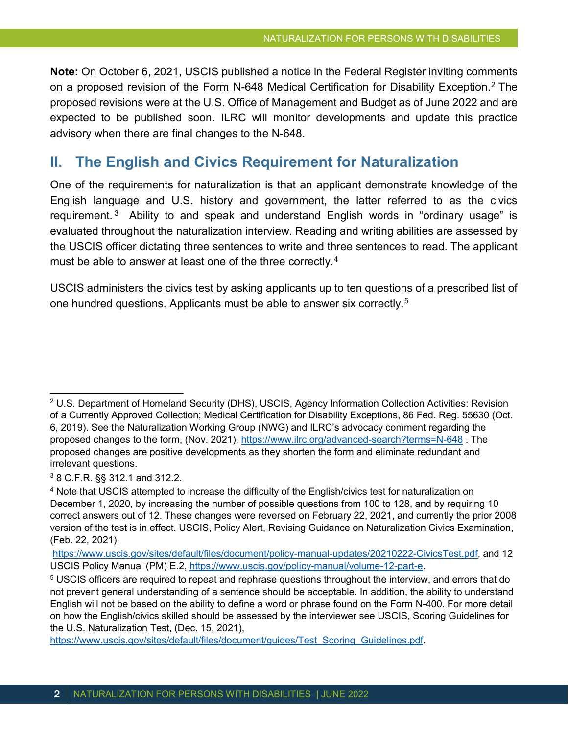**Note:** On October 6, 2021, USCIS published a notice in the Federal Register inviting comments on a proposed revision of the Form N-648 Medical Certification for Disability Exception.<sup>[2](#page-1-0)</sup> The proposed revisions were at the U.S. Office of Management and Budget as of June 2022 and are expected to be published soon. ILRC will monitor developments and update this practice advisory when there are final changes to the N-648.

#### **II. The English and Civics Requirement for Naturalization**

One of the requirements for naturalization is that an applicant demonstrate knowledge of the English language and U.S. history and government, the latter referred to as the civics requirement.<sup>[3](#page-1-1)</sup> Ability to and speak and understand English words in "ordinary usage" is evaluated throughout the naturalization interview. Reading and writing abilities are assessed by the USCIS officer dictating three sentences to write and three sentences to read. The applicant must be able to answer at least one of the three correctly.<sup>[4](#page-1-2)</sup>

USCIS administers the civics test by asking applicants up to ten questions of a prescribed list of one hundred questions. Applicants must be able to answer six correctly.[5](#page-1-3)

<span id="page-1-0"></span><sup>2</sup> U.S. Department of Homeland Security (DHS), USCIS, Agency Information Collection Activities: Revision of a Currently Approved Collection; Medical Certification for Disability Exceptions, 86 Fed. Reg. 55630 (Oct. 6, 2019). See the Naturalization Working Group (NWG) and ILRC's advocacy comment regarding the proposed changes to the form, (Nov. 2021), <https://www.ilrc.org/advanced-search?terms=N-648> . The proposed changes are positive developments as they shorten the form and eliminate redundant and irrelevant questions.

<span id="page-1-1"></span><sup>3</sup> 8 C.F.R. §§ 312.1 and 312.2.

<span id="page-1-2"></span><sup>4</sup> Note that USCIS attempted to increase the difficulty of the English/civics test for naturalization on December 1, 2020, by increasing the number of possible questions from 100 to 128, and by requiring 10 correct answers out of 12. These changes were reversed on February 22, 2021, and currently the prior 2008 version of the test is in effect. USCIS, Policy Alert, Revising Guidance on Naturalization Civics Examination, (Feb. 22, 2021),

[https://www.uscis.gov/sites/default/files/document/policy-manual-updates/20210222-CivicsTest.pdf,](https://www.uscis.gov/sites/default/files/document/policy-manual-updates/20210222-CivicsTest.pdf) and 12 USCIS Policy Manual (PM) E.2, [https://www.uscis.gov/policy-manual/volume-12-part-e.](https://www.uscis.gov/policy-manual/volume-12-part-e)

<span id="page-1-3"></span><sup>5</sup> USCIS officers are required to repeat and rephrase questions throughout the interview, and errors that do not prevent general understanding of a sentence should be acceptable. In addition, the ability to understand English will not be based on the ability to define a word or phrase found on the Form N-400. For more detail on how the English/civics skilled should be assessed by the interviewer see USCIS, Scoring Guidelines for the U.S. Naturalization Test, (Dec. 15, 2021),

[https://www.uscis.gov/sites/default/files/document/guides/Test\\_Scoring\\_Guidelines.pdf.](https://www.uscis.gov/sites/default/files/document/guides/Test_Scoring_Guidelines.pdf)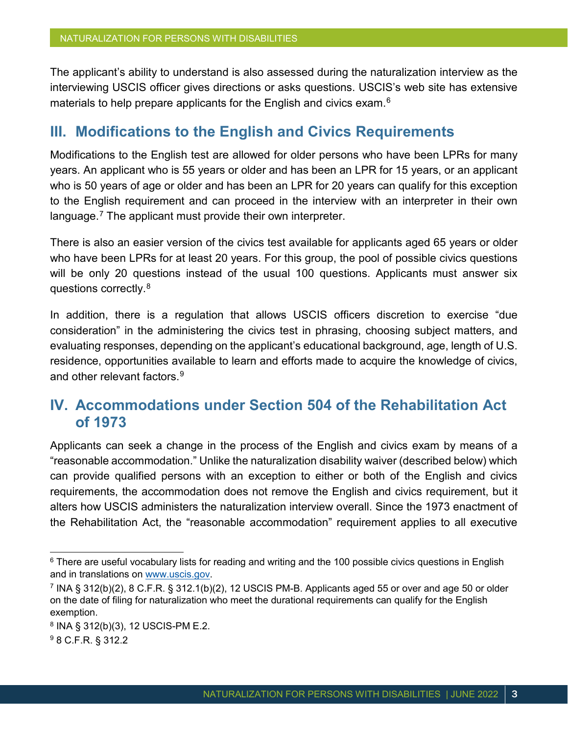The applicant's ability to understand is also assessed during the naturalization interview as the interviewing USCIS officer gives directions or asks questions. USCIS's web site has extensive materials to help prepare applicants for the English and civics exam.<sup>[6](#page-2-0)</sup>

#### **III. Modifications to the English and Civics Requirements**

Modifications to the English test are allowed for older persons who have been LPRs for many years. An applicant who is 55 years or older and has been an LPR for 15 years, or an applicant who is 50 years of age or older and has been an LPR for 20 years can qualify for this exception to the English requirement and can proceed in the interview with an interpreter in their own language.<sup>[7](#page-2-1)</sup> The applicant must provide their own interpreter.

There is also an easier version of the civics test available for applicants aged 65 years or older who have been LPRs for at least 20 years. For this group, the pool of possible civics questions will be only 20 questions instead of the usual 100 questions. Applicants must answer six questions correctly.[8](#page-2-2)

In addition, there is a regulation that allows USCIS officers discretion to exercise "due consideration" in the administering the civics test in phrasing, choosing subject matters, and evaluating responses, depending on the applicant's educational background, age, length of U.S. residence, opportunities available to learn and efforts made to acquire the knowledge of civics, and other relevant factors.<sup>[9](#page-2-3)</sup>

### **IV. Accommodations under Section 504 of the Rehabilitation Act of 1973**

Applicants can seek a change in the process of the English and civics exam by means of a "reasonable accommodation." Unlike the naturalization disability waiver (described below) which can provide qualified persons with an exception to either or both of the English and civics requirements, the accommodation does not remove the English and civics requirement, but it alters how USCIS administers the naturalization interview overall. Since the 1973 enactment of the Rehabilitation Act, the "reasonable accommodation" requirement applies to all executive

<span id="page-2-0"></span> $6$  There are useful vocabulary lists for reading and writing and the 100 possible civics questions in English and in translations on [www.uscis.gov.](http://www.uscis.gov/)

<span id="page-2-1"></span> $\frac{7}{1}$  INA § 312(b)(2), 8 C.F.R. § 312.1(b)(2), 12 USCIS PM-B. Applicants aged 55 or over and age 50 or older on the date of filing for naturalization who meet the durational requirements can qualify for the English exemption.

<span id="page-2-2"></span><sup>8</sup> INA § 312(b)(3), 12 USCIS-PM E.2.

<span id="page-2-3"></span><sup>9</sup> 8 C.F.R. § 312.2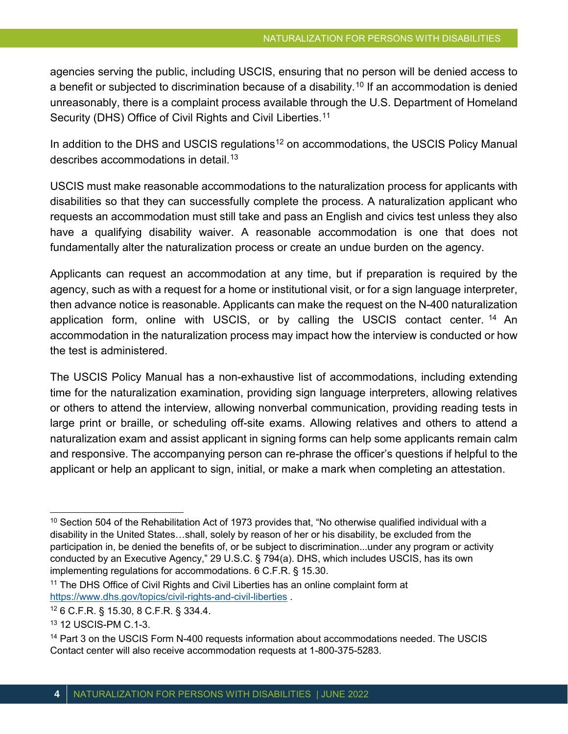agencies serving the public, including USCIS, ensuring that no person will be denied access to a benefit or subjected to discrimination because of a disability.<sup>[10](#page-3-0)</sup> If an accommodation is denied unreasonably, there is a complaint process available through the U.S. Department of Homeland Security (DHS) Office of Civil Rights and Civil Liberties.<sup>11</sup>

In addition to the DHS and USCIS regulations<sup>[12](#page-3-2)</sup> on accommodations, the USCIS Policy Manual describes accommodations in detail<sup>[13](#page-3-3)</sup>

USCIS must make reasonable accommodations to the naturalization process for applicants with disabilities so that they can successfully complete the process. A naturalization applicant who requests an accommodation must still take and pass an English and civics test unless they also have a qualifying disability waiver. A reasonable accommodation is one that does not fundamentally alter the naturalization process or create an undue burden on the agency.

Applicants can request an accommodation at any time, but if preparation is required by the agency, such as with a request for a home or institutional visit, or for a sign language interpreter, then advance notice is reasonable. Applicants can make the request on the N-400 naturalization application form, online with USCIS, or by calling the USCIS contact center. [14](#page-3-4) An accommodation in the naturalization process may impact how the interview is conducted or how the test is administered.

The USCIS Policy Manual has a non-exhaustive list of accommodations, including extending time for the naturalization examination, providing sign language interpreters, allowing relatives or others to attend the interview, allowing nonverbal communication, providing reading tests in large print or braille, or scheduling off-site exams. Allowing relatives and others to attend a naturalization exam and assist applicant in signing forms can help some applicants remain calm and responsive. The accompanying person can re-phrase the officer's questions if helpful to the applicant or help an applicant to sign, initial, or make a mark when completing an attestation.

<span id="page-3-0"></span> $\overline{a}$  $10$  Section 504 of the Rehabilitation Act of 1973 provides that, "No otherwise qualified individual with a disability in the United States…shall, solely by reason of her or his disability, be excluded from the participation in, be denied the benefits of, or be subject to discrimination...under any program or activity conducted by an Executive Agency," 29 U.S.C. § 794(a). DHS, which includes USCIS, has its own implementing regulations for accommodations. 6 C.F.R. § 15.30.

<span id="page-3-1"></span><sup>&</sup>lt;sup>11</sup> The DHS Office of Civil Rights and Civil Liberties has an online complaint form at <https://www.dhs.gov/topics/civil-rights-and-civil-liberties> .

<span id="page-3-2"></span><sup>12</sup> 6 C.F.R. § 15.30, 8 C.F.R. § 334.4.

<span id="page-3-3"></span><sup>13</sup> 12 USCIS-PM C.1-3.

<span id="page-3-4"></span><sup>&</sup>lt;sup>14</sup> Part 3 on the USCIS Form N-400 requests information about accommodations needed. The USCIS Contact center will also receive accommodation requests at 1-800-375-5283.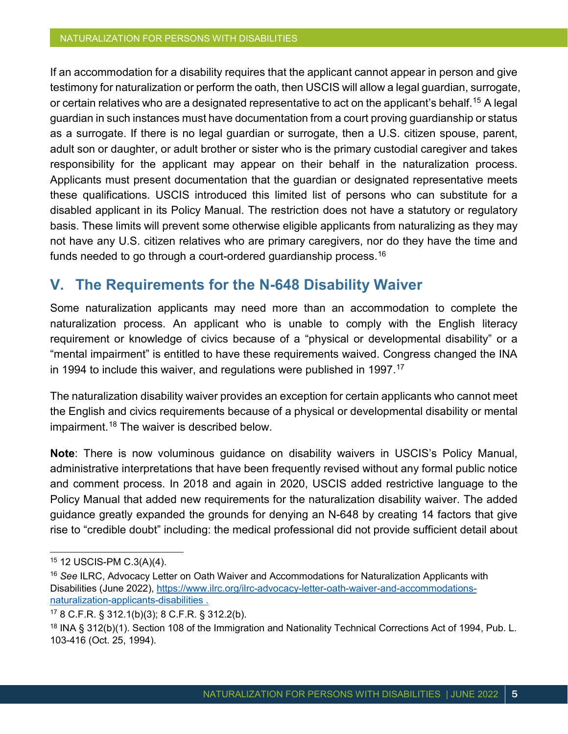If an accommodation for a disability requires that the applicant cannot appear in person and give testimony for naturalization or perform the oath, then USCIS will allow a legal guardian, surrogate, or certain relatives who are a designated representative to act on the applicant's behalf.<sup>[15](#page-4-0)</sup> A legal guardian in such instances must have documentation from a court proving guardianship or status as a surrogate. If there is no legal guardian or surrogate, then a U.S. citizen spouse, parent, adult son or daughter, or adult brother or sister who is the primary custodial caregiver and takes responsibility for the applicant may appear on their behalf in the naturalization process. Applicants must present documentation that the guardian or designated representative meets these qualifications. USCIS introduced this limited list of persons who can substitute for a disabled applicant in its Policy Manual. The restriction does not have a statutory or regulatory basis. These limits will prevent some otherwise eligible applicants from naturalizing as they may not have any U.S. citizen relatives who are primary caregivers, nor do they have the time and funds needed to go through a court-ordered quardianship process.<sup>16</sup>

#### **V. The Requirements for the N-648 Disability Waiver**

Some naturalization applicants may need more than an accommodation to complete the naturalization process. An applicant who is unable to comply with the English literacy requirement or knowledge of civics because of a "physical or developmental disability" or a "mental impairment" is entitled to have these requirements waived. Congress changed the INA in 1994 to include this waiver, and regulations were published in 1997.[17](#page-4-2)

The naturalization disability waiver provides an exception for certain applicants who cannot meet the English and civics requirements because of a physical or developmental disability or mental impairment.<sup>[18](#page-4-3)</sup> The waiver is described below.

**Note**: There is now voluminous guidance on disability waivers in USCIS's Policy Manual, administrative interpretations that have been frequently revised without any formal public notice and comment process. In 2018 and again in 2020, USCIS added restrictive language to the Policy Manual that added new requirements for the naturalization disability waiver. The added guidance greatly expanded the grounds for denying an N-648 by creating 14 factors that give rise to "credible doubt" including: the medical professional did not provide sufficient detail about

<span id="page-4-0"></span><sup>15</sup> 12 USCIS-PM C.3(A)(4).

<span id="page-4-1"></span><sup>16</sup> *See* ILRC, Advocacy Letter on Oath Waiver and Accommodations for Naturalization Applicants with Disabilities (June 2022), [https://www.ilrc.org/ilrc-advocacy-letter-oath-waiver-and-accommodations](https://www.ilrc.org/ilrc-advocacy-letter-oath-waiver-and-accommodations-naturalization-applicants-disabilities)[naturalization-applicants-disabilities](https://www.ilrc.org/ilrc-advocacy-letter-oath-waiver-and-accommodations-naturalization-applicants-disabilities) .

<span id="page-4-2"></span><sup>17</sup> 8 C.F.R. § 312.1(b)(3); 8 C.F.R. § 312.2(b).

<span id="page-4-3"></span><sup>&</sup>lt;sup>18</sup> INA § 312(b)(1). Section 108 of the Immigration and Nationality Technical Corrections Act of 1994, Pub. L. 103-416 (Oct. 25, 1994).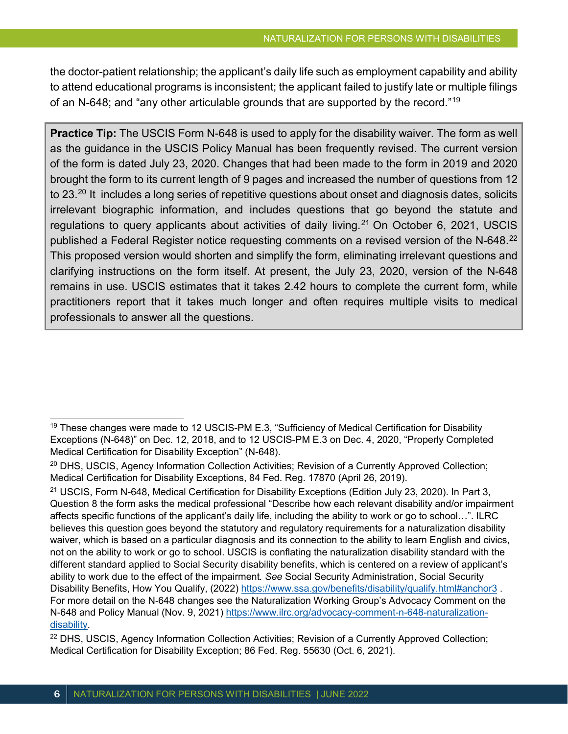the doctor-patient relationship; the applicant's daily life such as employment capability and ability to attend educational programs is inconsistent; the applicant failed to justify late or multiple filings of an N-648; and "any other articulable grounds that are supported by the record."[19](#page-5-0)

**Practice Tip:** The USCIS Form N-648 is used to apply for the disability waiver. The form as well as the guidance in the USCIS Policy Manual has been frequently revised. The current version of the form is dated July 23, 2020. Changes that had been made to the form in 2019 and 2020 brought the form to its current length of 9 pages and increased the number of questions from 12 to 23.<sup>[20](#page-5-1)</sup> It includes a long series of repetitive questions about onset and diagnosis dates, solicits irrelevant biographic information, and includes questions that go beyond the statute and regulations to query applicants about activities of daily living.<sup>[21](#page-5-2)</sup> On October 6, 2021, USCIS published a Federal Register notice requesting comments on a revised version of the N-648.<sup>[22](#page-5-3)</sup> This proposed version would shorten and simplify the form, eliminating irrelevant questions and clarifying instructions on the form itself. At present, the July 23, 2020, version of the N-648 remains in use. USCIS estimates that it takes 2.42 hours to complete the current form, while practitioners report that it takes much longer and often requires multiple visits to medical professionals to answer all the questions.

<span id="page-5-0"></span> $19$  These changes were made to 12 USCIS-PM E.3, "Sufficiency of Medical Certification for Disability Exceptions (N-648)" on Dec. 12, 2018, and to 12 USCIS-PM E.3 on Dec. 4, 2020, "Properly Completed Medical Certification for Disability Exception" (N-648).

<span id="page-5-1"></span><sup>&</sup>lt;sup>20</sup> DHS, USCIS, Agency Information Collection Activities; Revision of a Currently Approved Collection; Medical Certification for Disability Exceptions, 84 Fed. Reg. 17870 (April 26, 2019).

<span id="page-5-2"></span><sup>&</sup>lt;sup>21</sup> USCIS, Form N-648, Medical Certification for Disability Exceptions (Edition July 23, 2020). In Part 3, Question 8 the form asks the medical professional "Describe how each relevant disability and/or impairment affects specific functions of the applicant's daily life, including the ability to work or go to school…". ILRC believes this question goes beyond the statutory and regulatory requirements for a naturalization disability waiver, which is based on a particular diagnosis and its connection to the ability to learn English and civics, not on the ability to work or go to school. USCIS is conflating the naturalization disability standard with the different standard applied to Social Security disability benefits, which is centered on a review of applicant's ability to work due to the effect of the impairment*. See* Social Security Administration, Social Security Disability Benefits, How You Qualify, (2022) <https://www.ssa.gov/benefits/disability/qualify.html#anchor3>. For more detail on the N-648 changes see the Naturalization Working Group's Advocacy Comment on the N-648 and Policy Manual (Nov. 9, 2021) [https://www.ilrc.org/advocacy-comment-n-648-naturalization](https://www.ilrc.org/advocacy-comment-n-648-naturalization-disability)[disability.](https://www.ilrc.org/advocacy-comment-n-648-naturalization-disability)

<span id="page-5-3"></span><sup>&</sup>lt;sup>22</sup> DHS, USCIS, Agency Information Collection Activities; Revision of a Currently Approved Collection; Medical Certification for Disability Exception; 86 Fed. Reg. 55630 (Oct. 6, 2021).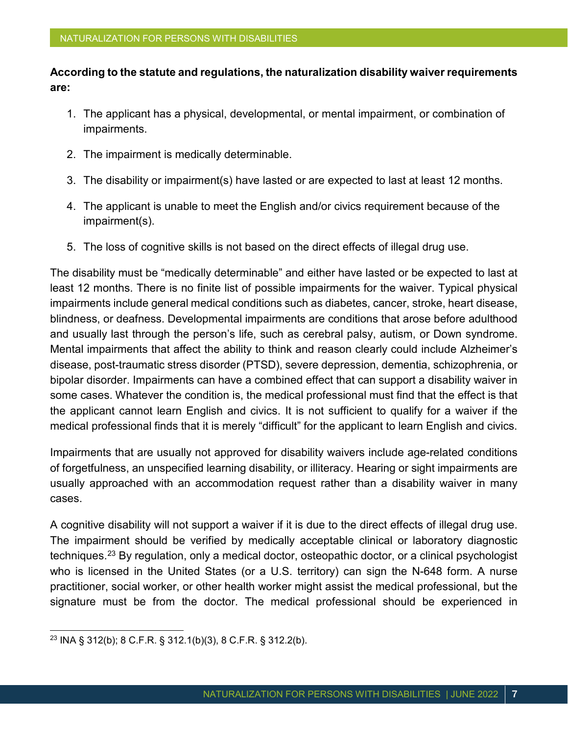#### **According to the statute and regulations, the naturalization disability waiver requirements are:**

- 1. The applicant has a physical, developmental, or mental impairment, or combination of impairments.
- 2. The impairment is medically determinable.
- 3. The disability or impairment(s) have lasted or are expected to last at least 12 months.
- 4. The applicant is unable to meet the English and/or civics requirement because of the impairment(s).
- 5. The loss of cognitive skills is not based on the direct effects of illegal drug use.

The disability must be "medically determinable" and either have lasted or be expected to last at least 12 months. There is no finite list of possible impairments for the waiver. Typical physical impairments include general medical conditions such as diabetes, cancer, stroke, heart disease, blindness, or deafness. Developmental impairments are conditions that arose before adulthood and usually last through the person's life, such as cerebral palsy, autism, or Down syndrome. Mental impairments that affect the ability to think and reason clearly could include Alzheimer's disease, post-traumatic stress disorder (PTSD), severe depression, dementia, schizophrenia, or bipolar disorder. Impairments can have a combined effect that can support a disability waiver in some cases. Whatever the condition is, the medical professional must find that the effect is that the applicant cannot learn English and civics. It is not sufficient to qualify for a waiver if the medical professional finds that it is merely "difficult" for the applicant to learn English and civics.

Impairments that are usually not approved for disability waivers include age-related conditions of forgetfulness, an unspecified learning disability, or illiteracy. Hearing or sight impairments are usually approached with an accommodation request rather than a disability waiver in many cases.

A cognitive disability will not support a waiver if it is due to the direct effects of illegal drug use. The impairment should be verified by medically acceptable clinical or laboratory diagnostic techniques.[23](#page-6-0) By regulation, only a medical doctor, osteopathic doctor, or a clinical psychologist who is licensed in the United States (or a U.S. territory) can sign the N-648 form. A nurse practitioner, social worker, or other health worker might assist the medical professional, but the signature must be from the doctor. The medical professional should be experienced in

<span id="page-6-0"></span><sup>23</sup> INA § 312(b); 8 C.F.R. § 312.1(b)(3), 8 C.F.R. § 312.2(b).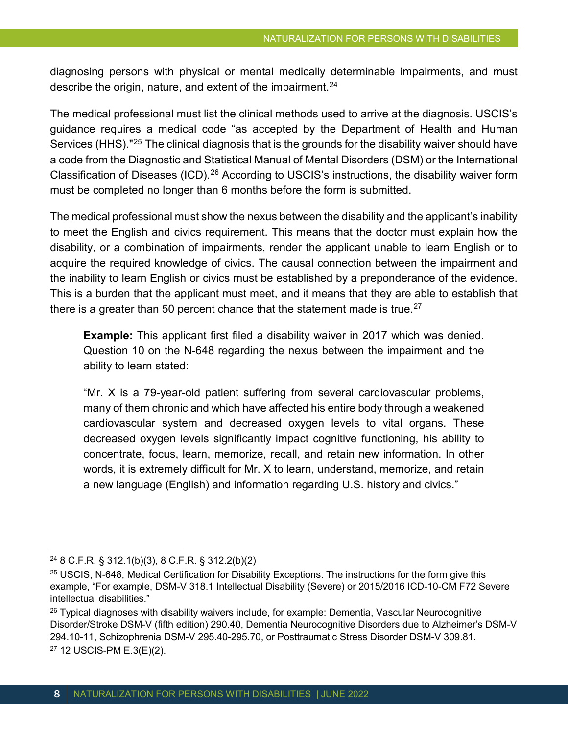diagnosing persons with physical or mental medically determinable impairments, and must describe the origin, nature, and extent of the impairment. $24$ 

The medical professional must list the clinical methods used to arrive at the diagnosis. USCIS's guidance requires a medical code "as accepted by the Department of Health and Human Services (HHS)."[25](#page-7-1) The clinical diagnosis that is the grounds for the disability waiver should have a code from the Diagnostic and Statistical Manual of Mental Disorders (DSM) or the International Classification of Diseases (ICD).[26](#page-7-2) According to USCIS's instructions, the disability waiver form must be completed no longer than 6 months before the form is submitted.

The medical professional must show the nexus between the disability and the applicant's inability to meet the English and civics requirement. This means that the doctor must explain how the disability, or a combination of impairments, render the applicant unable to learn English or to acquire the required knowledge of civics. The causal connection between the impairment and the inability to learn English or civics must be established by a preponderance of the evidence. This is a burden that the applicant must meet, and it means that they are able to establish that there is a greater than 50 percent chance that the statement made is true.<sup>[27](#page-7-3)</sup>

**Example:** This applicant first filed a disability waiver in 2017 which was denied. Question 10 on the N-648 regarding the nexus between the impairment and the ability to learn stated:

"Mr. X is a 79-year-old patient suffering from several cardiovascular problems, many of them chronic and which have affected his entire body through a weakened cardiovascular system and decreased oxygen levels to vital organs. These decreased oxygen levels significantly impact cognitive functioning, his ability to concentrate, focus, learn, memorize, recall, and retain new information. In other words, it is extremely difficult for Mr. X to learn, understand, memorize, and retain a new language (English) and information regarding U.S. history and civics."

<span id="page-7-0"></span><sup>24</sup> 8 C.F.R. § 312.1(b)(3), 8 C.F.R. § 312.2(b)(2)

<span id="page-7-1"></span><sup>&</sup>lt;sup>25</sup> USCIS, N-648, Medical Certification for Disability Exceptions. The instructions for the form give this example, "For example, DSM-V 318.1 Intellectual Disability (Severe) or 2015/2016 ICD-10-CM F72 Severe intellectual disabilities."

<span id="page-7-3"></span><span id="page-7-2"></span> $26$  Typical diagnoses with disability waivers include, for example: Dementia, Vascular Neurocognitive Disorder/Stroke DSM-V (fifth edition) 290.40, Dementia Neurocognitive Disorders due to Alzheimer's DSM-V 294.10-11, Schizophrenia DSM-V 295.40-295.70, or Posttraumatic Stress Disorder DSM-V 309.81. <sup>27</sup> 12 USCIS-PM E.3(E)(2).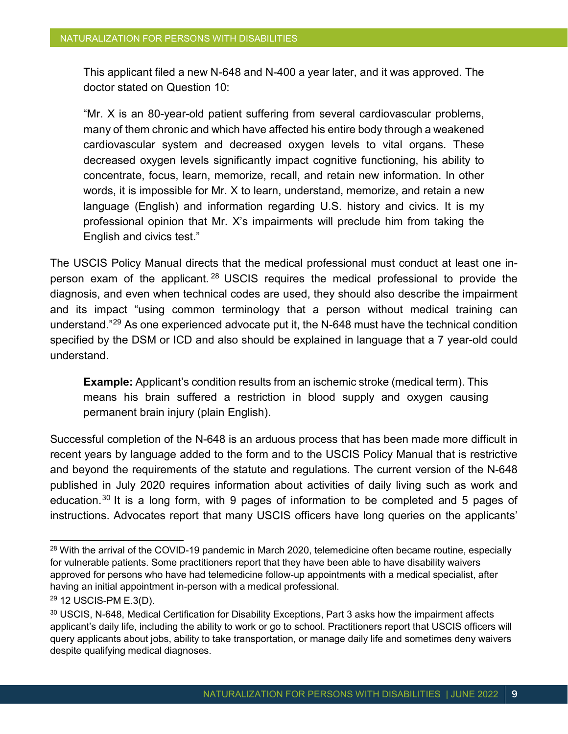This applicant filed a new N-648 and N-400 a year later, and it was approved. The doctor stated on Question 10:

"Mr. X is an 80-year-old patient suffering from several cardiovascular problems, many of them chronic and which have affected his entire body through a weakened cardiovascular system and decreased oxygen levels to vital organs. These decreased oxygen levels significantly impact cognitive functioning, his ability to concentrate, focus, learn, memorize, recall, and retain new information. In other words, it is impossible for Mr. X to learn, understand, memorize, and retain a new language (English) and information regarding U.S. history and civics. It is my professional opinion that Mr. X's impairments will preclude him from taking the English and civics test."

The USCIS Policy Manual directs that the medical professional must conduct at least one inperson exam of the applicant. [28](#page-8-0) USCIS requires the medical professional to provide the diagnosis, and even when technical codes are used, they should also describe the impairment and its impact "using common terminology that a person without medical training can understand."[29](#page-8-1) As one experienced advocate put it, the N-648 must have the technical condition specified by the DSM or ICD and also should be explained in language that a 7 year-old could understand.

**Example:** Applicant's condition results from an ischemic stroke (medical term). This means his brain suffered a restriction in blood supply and oxygen causing permanent brain injury (plain English).

Successful completion of the N-648 is an arduous process that has been made more difficult in recent years by language added to the form and to the USCIS Policy Manual that is restrictive and beyond the requirements of the statute and regulations. The current version of the N-648 published in July 2020 requires information about activities of daily living such as work and education.[30](#page-8-2) It is a long form, with 9 pages of information to be completed and 5 pages of instructions. Advocates report that many USCIS officers have long queries on the applicants'

<span id="page-8-0"></span> $\overline{a}$ <sup>28</sup> With the arrival of the COVID-19 pandemic in March 2020, telemedicine often became routine, especially for vulnerable patients. Some practitioners report that they have been able to have disability waivers approved for persons who have had telemedicine follow-up appointments with a medical specialist, after having an initial appointment in-person with a medical professional.

<span id="page-8-1"></span><sup>29</sup> 12 USCIS-PM E.3(D).

<span id="page-8-2"></span><sup>30</sup> USCIS, N-648, Medical Certification for Disability Exceptions, Part 3 asks how the impairment affects applicant's daily life, including the ability to work or go to school. Practitioners report that USCIS officers will query applicants about jobs, ability to take transportation, or manage daily life and sometimes deny waivers despite qualifying medical diagnoses.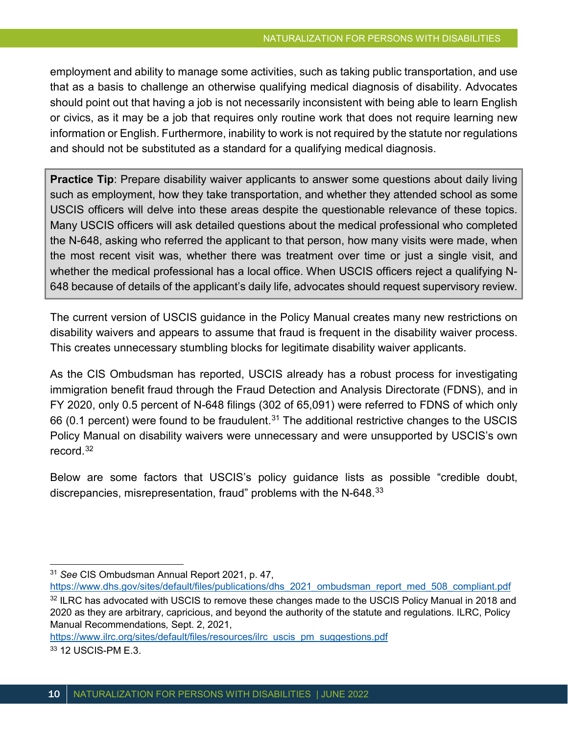employment and ability to manage some activities, such as taking public transportation, and use that as a basis to challenge an otherwise qualifying medical diagnosis of disability. Advocates should point out that having a job is not necessarily inconsistent with being able to learn English or civics, as it may be a job that requires only routine work that does not require learning new information or English. Furthermore, inability to work is not required by the statute nor regulations and should not be substituted as a standard for a qualifying medical diagnosis.

**Practice Tip**: Prepare disability waiver applicants to answer some questions about daily living such as employment, how they take transportation, and whether they attended school as some USCIS officers will delve into these areas despite the questionable relevance of these topics. Many USCIS officers will ask detailed questions about the medical professional who completed the N-648, asking who referred the applicant to that person, how many visits were made, when the most recent visit was, whether there was treatment over time or just a single visit, and whether the medical professional has a local office. When USCIS officers reject a qualifying N-648 because of details of the applicant's daily life, advocates should request supervisory review.

The current version of USCIS guidance in the Policy Manual creates many new restrictions on disability waivers and appears to assume that fraud is frequent in the disability waiver process. This creates unnecessary stumbling blocks for legitimate disability waiver applicants.

As the CIS Ombudsman has reported, USCIS already has a robust process for investigating immigration benefit fraud through the Fraud Detection and Analysis Directorate (FDNS), and in FY 2020, only 0.5 percent of N-648 filings (302 of 65,091) were referred to FDNS of which only 66 (0.1 percent) were found to be fraudulent.<sup>[31](#page-9-0)</sup> The additional restrictive changes to the USCIS Policy Manual on disability waivers were unnecessary and were unsupported by USCIS's own record<sup>[32](#page-9-1)</sup>

Below are some factors that USCIS's policy guidance lists as possible "credible doubt, discrepancies, misrepresentation, fraud" problems with the N-648.<sup>[33](#page-9-2)</sup>

[https://www.ilrc.org/sites/default/files/resources/ilrc\\_uscis\\_pm\\_suggestions.pdf](https://www.ilrc.org/sites/default/files/resources/ilrc_uscis_pm_suggestions.pdf)

<span id="page-9-0"></span><sup>31</sup> *See* CIS Ombudsman Annual Report 2021, p. 47,

<span id="page-9-1"></span>[https://www.dhs.gov/sites/default/files/publications/dhs\\_2021\\_ombudsman\\_report\\_med\\_508\\_compliant.pdf](https://www.dhs.gov/sites/default/files/publications/dhs_2021_ombudsman_report_med_508_compliant.pdf) <sup>32</sup> ILRC has advocated with USCIS to remove these changes made to the USCIS Policy Manual in 2018 and 2020 as they are arbitrary, capricious, and beyond the authority of the statute and regulations. ILRC, Policy Manual Recommendations*,* Sept. 2, 2021,

<span id="page-9-2"></span><sup>33</sup> 12 USCIS-PM E.3.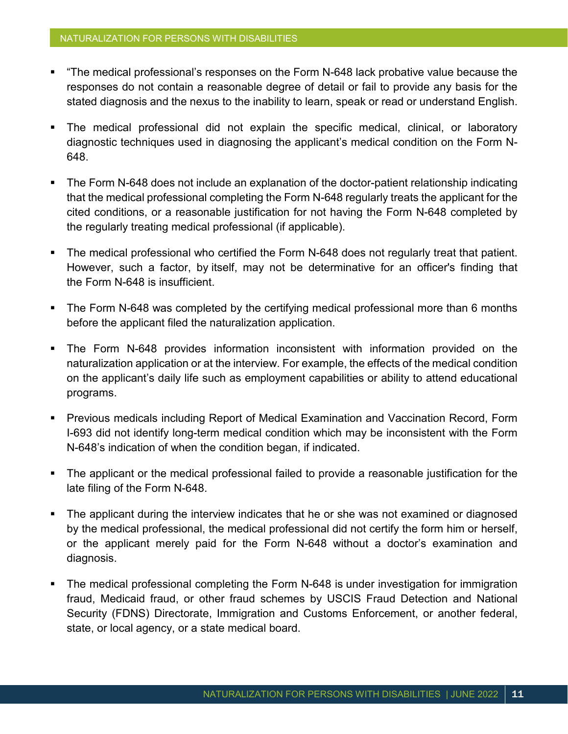- "The medical professional's responses on the Form N-648 lack probative value because the responses do not contain a reasonable degree of detail or fail to provide any basis for the stated diagnosis and the nexus to the inability to learn, speak or read or understand English.
- The medical professional did not explain the specific medical, clinical, or laboratory diagnostic techniques used in diagnosing the applicant's medical condition on the Form N-648.
- The Form N-648 does not include an explanation of the doctor-patient relationship indicating that the medical professional completing the Form N-648 regularly treats the applicant for the cited conditions, or a reasonable justification for not having the Form N-648 completed by the regularly treating medical professional (if applicable).
- The medical professional who certified the Form N-648 does not regularly treat that patient. However, such a factor, by itself, may not be determinative for an officer's finding that the Form N-648 is insufficient.
- The Form N-648 was completed by the certifying medical professional more than 6 months before the applicant filed the naturalization application.
- The Form N-648 provides information inconsistent with information provided on the naturalization application or at the interview. For example, the effects of the medical condition on the applicant's daily life such as employment capabilities or ability to attend educational programs.
- Previous medicals including Report of Medical Examination and Vaccination Record, Form I-693 did not identify long-term medical condition which may be inconsistent with the Form N-648's indication of when the condition began, if indicated.
- The applicant or the medical professional failed to provide a reasonable justification for the late filing of the Form N-648.
- The applicant during the interview indicates that he or she was not examined or diagnosed by the medical professional, the medical professional did not certify the form him or herself, or the applicant merely paid for the Form N-648 without a doctor's examination and diagnosis.
- The medical professional completing the Form N-648 is under investigation for immigration fraud, Medicaid fraud, or other fraud schemes by USCIS Fraud Detection and National Security (FDNS) Directorate, Immigration and Customs Enforcement, or another federal, state, or local agency, or a state medical board.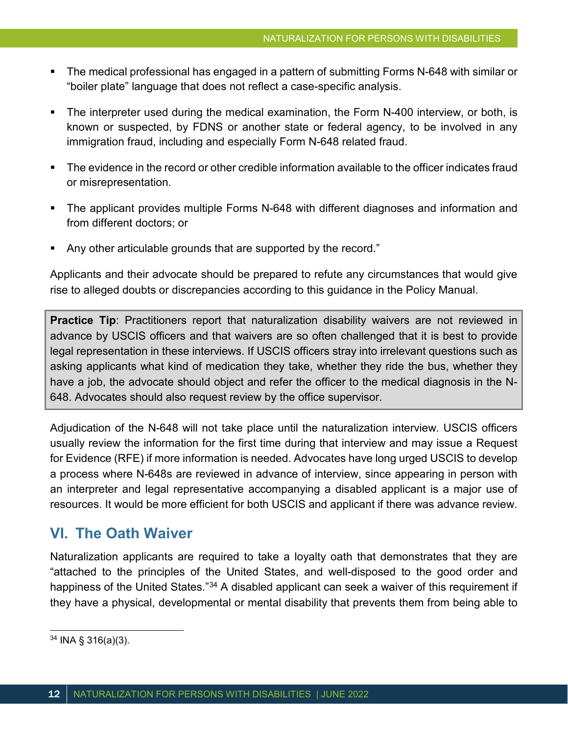- The medical professional has engaged in a pattern of submitting Forms N-648 with similar or "boiler plate" language that does not reflect a case-specific analysis.
- The interpreter used during the medical examination, the Form N-400 interview, or both, is known or suspected, by FDNS or another state or federal agency, to be involved in any immigration fraud, including and especially Form N-648 related fraud.
- The evidence in the record or other credible information available to the officer indicates fraud or misrepresentation.
- The applicant provides multiple Forms N-648 with different diagnoses and information and from different doctors; or
- Any other articulable grounds that are supported by the record."

Applicants and their advocate should be prepared to refute any circumstances that would give rise to alleged doubts or discrepancies according to this guidance in the Policy Manual.

**Practice Tip**: Practitioners report that naturalization disability waivers are not reviewed in advance by USCIS officers and that waivers are so often challenged that it is best to provide legal representation in these interviews. If USCIS officers stray into irrelevant questions such as asking applicants what kind of medication they take, whether they ride the bus, whether they have a job, the advocate should object and refer the officer to the medical diagnosis in the N-648. Advocates should also request review by the office supervisor.

Adjudication of the N-648 will not take place until the naturalization interview. USCIS officers usually review the information for the first time during that interview and may issue a Request for Evidence (RFE) if more information is needed. Advocates have long urged USCIS to develop a process where N-648s are reviewed in advance of interview, since appearing in person with an interpreter and legal representative accompanying a disabled applicant is a major use of resources. It would be more efficient for both USCIS and applicant if there was advance review.

#### **VI. The Oath Waiver**

Naturalization applicants are required to take a loyalty oath that demonstrates that they are "attached to the principles of the United States, and well-disposed to the good order and happiness of the United States."<sup>[34](#page-11-0)</sup> A disabled applicant can seek a waiver of this requirement if they have a physical, developmental or mental disability that prevents them from being able to

<span id="page-11-0"></span> $\overline{a}$ <sup>34</sup> INA § 316(a)(3).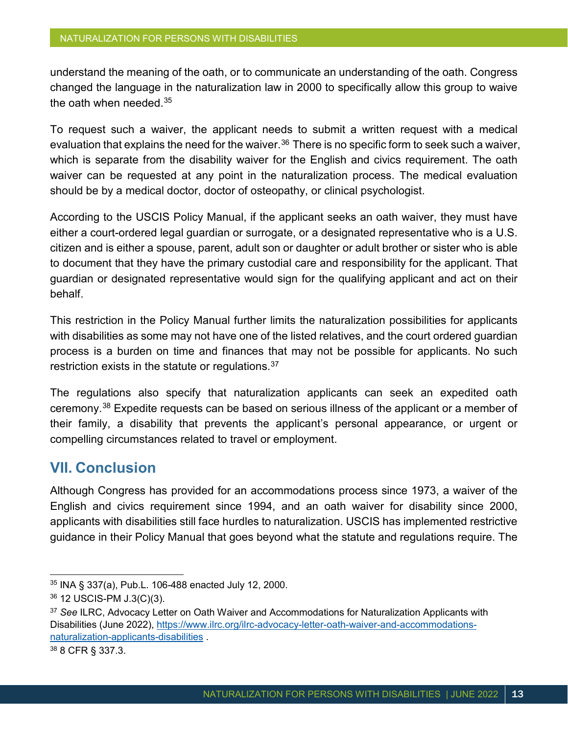understand the meaning of the oath, or to communicate an understanding of the oath. Congress changed the language in the naturalization law in 2000 to specifically allow this group to waive the oath when needed.[35](#page-12-0)

To request such a waiver, the applicant needs to submit a written request with a medical evaluation that explains the need for the waiver.<sup>[36](#page-12-1)</sup> There is no specific form to seek such a waiver, which is separate from the disability waiver for the English and civics requirement. The oath waiver can be requested at any point in the naturalization process. The medical evaluation should be by a medical doctor, doctor of osteopathy, or clinical psychologist.

According to the USCIS Policy Manual, if the applicant seeks an oath waiver, they must have either a court-ordered legal guardian or surrogate, or a designated representative who is a U.S. citizen and is either a spouse, parent, adult son or daughter or adult brother or sister who is able to document that they have the primary custodial care and responsibility for the applicant. That guardian or designated representative would sign for the qualifying applicant and act on their behalf.

This restriction in the Policy Manual further limits the naturalization possibilities for applicants with disabilities as some may not have one of the listed relatives, and the court ordered guardian process is a burden on time and finances that may not be possible for applicants. No such restriction exists in the statute or regulations.<sup>[37](#page-12-2)</sup>

The regulations also specify that naturalization applicants can seek an expedited oath ceremony.[38](#page-12-3) Expedite requests can be based on serious illness of the applicant or a member of their family, a disability that prevents the applicant's personal appearance, or urgent or compelling circumstances related to travel or employment.

#### **VII. Conclusion**

Although Congress has provided for an accommodations process since 1973, a waiver of the English and civics requirement since 1994, and an oath waiver for disability since 2000, applicants with disabilities still face hurdles to naturalization. USCIS has implemented restrictive guidance in their Policy Manual that goes beyond what the statute and regulations require. The

<span id="page-12-0"></span> $\overline{a}$ <sup>35</sup> INA § 337(a), Pub.L. 106-488 enacted July 12, 2000.

<span id="page-12-1"></span><sup>36</sup> 12 USCIS-PM J.3(C)(3).

<span id="page-12-2"></span><sup>37</sup> *See* ILRC, Advocacy Letter on Oath Waiver and Accommodations for Naturalization Applicants with Disabilities (June 2022), [https://www.ilrc.org/ilrc-advocacy-letter-oath-waiver-and-accommodations](https://www.ilrc.org/ilrc-advocacy-letter-oath-waiver-and-accommodations-naturalization-applicants-disabilities)[naturalization-applicants-disabilities](https://www.ilrc.org/ilrc-advocacy-letter-oath-waiver-and-accommodations-naturalization-applicants-disabilities) .

<span id="page-12-3"></span><sup>38</sup> 8 CFR § 337.3.